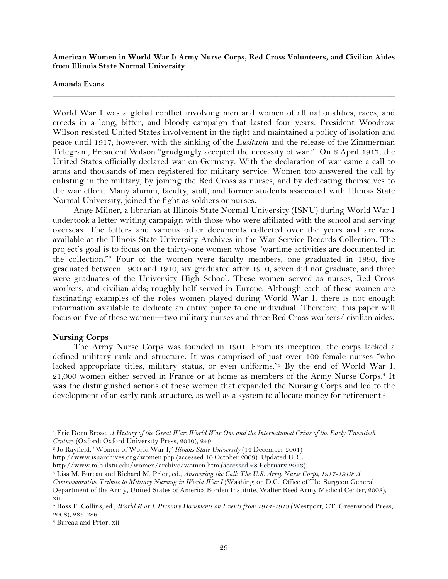**American Women in World War I: Army Nurse Corps, Red Cross Volunteers, and Civilian Aides from Illinois State Normal University**

**\_\_\_\_\_\_\_\_\_\_\_\_\_\_\_\_\_\_\_\_\_\_\_\_\_\_\_\_\_\_\_\_\_\_\_\_\_\_\_\_\_\_\_\_\_\_\_\_\_\_\_\_\_\_\_\_\_\_\_\_\_\_\_\_\_\_\_\_\_\_\_\_\_\_\_\_\_\_**

## **Amanda Evans**

World War I was a global conflict involving men and women of all nationalities, races, and creeds in a long, bitter, and bloody campaign that lasted four years. President Woodrow Wilson resisted United States involvement in the fight and maintained a policy of isolation and peace until 1917; however, with the sinking of the *Lusitania* and the release of the Zimmerman Telegram, President Wilson "grudgingly accepted the necessity of war."1 On 6 April 1917, the United States officially declared war on Germany. With the declaration of war came a call to arms and thousands of men registered for military service. Women too answered the call by enlisting in the military, by joining the Red Cross as nurses, and by dedicating themselves to the war effort. Many alumni, faculty, staff, and former students associated with Illinois State Normal University, joined the fight as soldiers or nurses.

Ange Milner, a librarian at Illinois State Normal University (ISNU) during World War I undertook a letter writing campaign with those who were affiliated with the school and serving overseas. The letters and various other documents collected over the years and are now available at the Illinois State University Archives in the War Service Records Collection. The project's goal is to focus on the thirty-one women whose "wartime activities are documented in the collection."2 Four of the women were faculty members, one graduated in 1890, five graduated between 1900 and 1910, six graduated after 1910, seven did not graduate, and three were graduates of the University High School. These women served as nurses, Red Cross workers, and civilian aids; roughly half served in Europe. Although each of these women are fascinating examples of the roles women played during World War I, there is not enough information available to dedicate an entire paper to one individual. Therefore, this paper will focus on five of these women—two military nurses and three Red Cross workers/ civilian aides.

## **Nursing Corps**

The Army Nurse Corps was founded in 1901. From its inception, the corps lacked a defined military rank and structure. It was comprised of just over 100 female nurses "who lacked appropriate titles, military status, or even uniforms."<sup>3</sup> By the end of World War I, 21,000 women either served in France or at home as members of the Army Nurse Corps.<sup>4</sup> It was the distinguished actions of these women that expanded the Nursing Corps and led to the development of an early rank structure, as well as a system to allocate money for retirement.<sup>5</sup>

<sup>1</sup> Eric Dorn Brose, *A History of the Great War: World War One and the International Crisis of the Early Twentieth Century* (Oxford: Oxford University Press, 2010), 249.

<sup>2</sup> Jo Rayfield, "Women of World War I," *Illinois State University* (14 December 2001)

http://www.isuarchives.org/women.php (accessed 10 October 2009). Updated URL:

http://www.mlb.ilstu.edu/women/archive/women.htm (accessed 28 February 2013).

<sup>3</sup> Lisa M. Bureau and Richard M. Prior, ed., *Answering the Call: The U.S. Army Nurse Corps, 1917-1919: A* 

*Commemorative Tribute to Military Nursing in World War I* (Washington D.C.: Office of The Surgeon General,

Department of the Army, United States of America Borden Institute, Walter Reed Army Medical Center, 2008), xii.

<sup>4</sup> Ross F. Collins, ed., *World War I: Primary Documents on Events from 1914-1919* (Westport, CT: Greenwood Press, 2008), 285-286.

<sup>5</sup> Bureau and Prior, xii.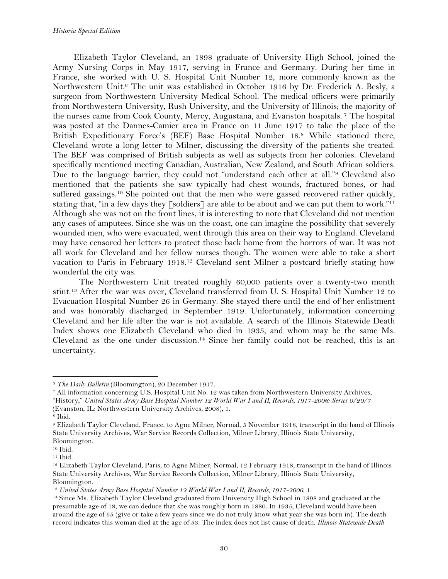Elizabeth Taylor Cleveland, an 1898 graduate of University High School, joined the Army Nursing Corps in May 1917, serving in France and Germany. During her time in France, she worked with U. S. Hospital Unit Number 12, more commonly known as the Northwestern Unit.6 The unit was established in October 1916 by Dr. Frederick A. Besly, a surgeon from Northwestern University Medical School. The medical officers were primarily from Northwestern University, Rush University, and the University of Illinois; the majority of the nurses came from Cook County, Mercy, Augustana, and Evanston hospitals. <sup>7</sup> The hospital was posted at the Dannes-Camier area in France on 11 June 1917 to take the place of the British Expeditionary Force's (BEF) Base Hospital Number 18.8 While stationed there, Cleveland wrote a long letter to Milner, discussing the diversity of the patients she treated. The BEF was comprised of British subjects as well as subjects from her colonies. Cleveland specifically mentioned meeting Canadian, Australian, New Zealand, and South African soldiers. Due to the language barrier, they could not "understand each other at all."<sup>9</sup> Cleveland also mentioned that the patients she saw typically had chest wounds, fractured bones, or had suffered gassings.<sup>10</sup> She pointed out that the men who were gassed recovered rather quickly, stating that, "in a few days they [soldiers] are able to be about and we can put them to work."<sup>11</sup> Although she was not on the front lines, it is interesting to note that Cleveland did not mention any cases of amputees. Since she was on the coast, one can imagine the possibility that severely wounded men, who were evacuated, went through this area on their way to England. Cleveland may have censored her letters to protect those back home from the horrors of war. It was not all work for Cleveland and her fellow nurses though. The women were able to take a short vacation to Paris in February 1918.12 Cleveland sent Milner a postcard briefly stating how wonderful the city was.

The Northwestern Unit treated roughly 60,000 patients over a twenty-two month stint.13 After the war was over, Cleveland transferred from U. S. Hospital Unit Number 12 to Evacuation Hospital Number 26 in Germany. She stayed there until the end of her enlistment and was honorably discharged in September 1919. Unfortunately, information concerning Cleveland and her life after the war is not available. A search of the Illinois Statewide Death Index shows one Elizabeth Cleveland who died in 1935, and whom may be the same Ms. Cleveland as the one under discussion.14 Since her family could not be reached, this is an uncertainty.

<sup>6</sup> *The Daily Bulletin* (Bloomington), 20 December 1917.

<sup>7</sup> All information concerning U.S. Hospital Unit No. 12 was taken from Northwestern University Archives,

<sup>&</sup>quot;History," *United States Army Base Hospital Number 12 World War I and II, Records, 1917-2006: Series 0/20/7*

<sup>(</sup>Evanston, IL: Northwestern University Archives, 2008), 1.

<sup>8</sup> Ibid.

<sup>9</sup> Elizabeth Taylor Cleveland, France, to Agne Milner, Normal, 5 November 1918, transcript in the hand of Illinois State University Archives, War Service Records Collection, Milner Library, Illinois State University, Bloomington.

<sup>10</sup> Ibid.

<sup>11</sup> Ibid.

<sup>12</sup> Elizabeth Taylor Cleveland, Paris, to Agne Milner, Normal, 12 February 1918, transcript in the hand of Illinois State University Archives, War Service Records Collection, Milner Library, Illinois State University, Bloomington.

<sup>13</sup> *United States Army Base Hospital Number 12 World War I and II, Records, 1917-2006*, 1.

<sup>14</sup> Since Ms. Elizabeth Taylor Cleveland graduated from University High School in 1898 and graduated at the presumable age of 18, we can deduce that she was roughly born in 1880. In 1935, Cleveland would have been around the age of 55 (give or take a few years since we do not truly know what year she was born in). The death record indicates this woman died at the age of 53. The index does not list cause of death. *Illinois Statewide Death*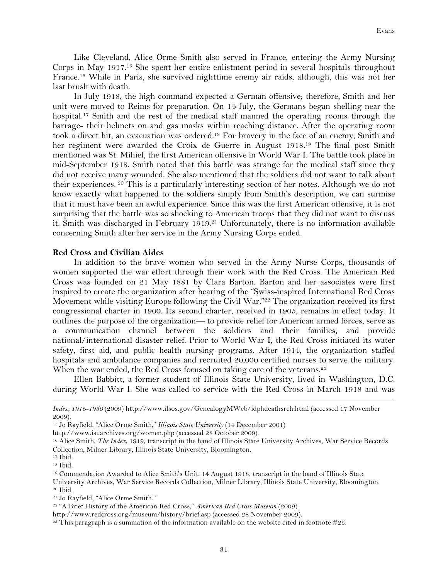Like Cleveland, Alice Orme Smith also served in France, entering the Army Nursing Corps in May 1917.15 She spent her entire enlistment period in several hospitals throughout France.16 While in Paris, she survived nighttime enemy air raids, although, this was not her last brush with death.

In July 1918, the high command expected a German offensive; therefore, Smith and her unit were moved to Reims for preparation. On 14 July, the Germans began shelling near the hospital.<sup>17</sup> Smith and the rest of the medical staff manned the operating rooms through the barrage- their helmets on and gas masks within reaching distance. After the operating room took a direct hit, an evacuation was ordered.18 For bravery in the face of an enemy, Smith and her regiment were awarded the Croix de Guerre in August 1918.19 The final post Smith mentioned was St. Mihiel, the first American offensive in World War I. The battle took place in mid-September 1918. Smith noted that this battle was strange for the medical staff since they did not receive many wounded. She also mentioned that the soldiers did not want to talk about their experiences. <sup>20</sup> This is a particularly interesting section of her notes. Although we do not know exactly what happened to the soldiers simply from Smith's description, we can surmise that it must have been an awful experience. Since this was the first American offensive, it is not surprising that the battle was so shocking to American troops that they did not want to discuss it. Smith was discharged in February  $1919.^{21}$  Unfortunately, there is no information available concerning Smith after her service in the Army Nursing Corps ended.

## **Red Cross and Civilian Aides**

In addition to the brave women who served in the Army Nurse Corps, thousands of women supported the war effort through their work with the Red Cross. The American Red Cross was founded on 21 May 1881 by Clara Barton. Barton and her associates were first inspired to create the organization after hearing of the "Swiss-inspired International Red Cross Movement while visiting Europe following the Civil War."<sup>22</sup> The organization received its first congressional charter in 1900. Its second charter, received in 1905, remains in effect today. It outlines the purpose of the organization— to provide relief for American armed forces, serve as a communication channel between the soldiers and their families, and provide national/international disaster relief. Prior to World War I, the Red Cross initiated its water safety, first aid, and public health nursing programs. After 1914, the organization staffed hospitals and ambulance companies and recruited 20,000 certified nurses to serve the military. When the war ended, the Red Cross focused on taking care of the veterans.<sup>23</sup>

Ellen Babbitt, a former student of Illinois State University, lived in Washington, D.C. during World War I. She was called to service with the Red Cross in March 1918 and was

!!!!!!!!!!!!!!!!!!!!!!!!!!!!!!!!!!!!!!!!!!!!!!!!!!!!!!!!!!!!!!!!!!!!!!!!!!!!!!!!!!!!!!!!!!!!!!!!!!!!!!!!!!!!!!!!!!!!!!!!!!!!!!!!!!!!!!!!!!!!!!!!!!!!!!!!!!!!!!!!!!!!!!!!!!!!!!!!!!!!!!!!!!!!!!!!!!!

http://www.isuarchives.org/women.php (accessed 28 October 2009).

University Archives, War Service Records Collection, Milner Library, Illinois State University, Bloomington. <sup>20</sup> Ibid.

*Index, 1916-1950* (2009) http://www.ilsos.gov/GenealogyMWeb/idphdeathsrch.html (accessed 17 November 2009).

<sup>15</sup> Jo Rayfield, "Alice Orme Smith," *Illinois State University* (14 December 2001)

<sup>16</sup> Alice Smith, *The Index*, 1919, transcript in the hand of Illinois State University Archives, War Service Records Collection, Milner Library, Illinois State University, Bloomington.

<sup>17</sup> Ibid.

<sup>18</sup> Ibid.

<sup>19</sup> Commendation Awarded to Alice Smith's Unit, 14 August 1918, transcript in the hand of Illinois State

<sup>21</sup> Jo Rayfield, "Alice Orme Smith."

<sup>22</sup> "A Brief History of the American Red Cross," *American Red Cross Museum* (2009)

http://www.redcross.org/museum/history/brief.asp (accessed 28 November 2009).

 $23$  This paragraph is a summation of the information available on the website cited in footnote  $#25$ .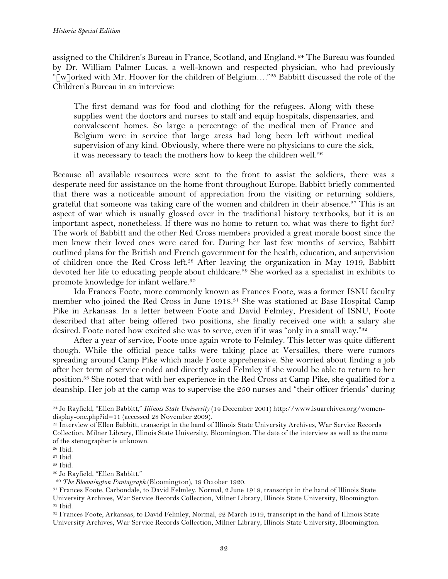assigned to the Children's Bureau in France, Scotland, and England. <sup>24</sup> The Bureau was founded by Dr. William Palmer Lucas, a well-known and respected physician, who had previously "[w]orked with Mr. Hoover for the children of Belgium...."<sup>25</sup> Babbitt discussed the role of the Children's Bureau in an interview:

The first demand was for food and clothing for the refugees. Along with these supplies went the doctors and nurses to staff and equip hospitals, dispensaries, and convalescent homes. So large a percentage of the medical men of France and Belgium were in service that large areas had long been left without medical supervision of any kind. Obviously, where there were no physicians to cure the sick, it was necessary to teach the mothers how to keep the children well.<sup>26</sup>

Because all available resources were sent to the front to assist the soldiers, there was a desperate need for assistance on the home front throughout Europe. Babbitt briefly commented that there was a noticeable amount of appreciation from the visiting or returning soldiers, grateful that someone was taking care of the women and children in their absence.27 This is an aspect of war which is usually glossed over in the traditional history textbooks, but it is an important aspect, nonetheless. If there was no home to return to, what was there to fight for? The work of Babbitt and the other Red Cross members provided a great morale boost since the men knew their loved ones were cared for. During her last few months of service, Babbitt outlined plans for the British and French government for the health, education, and supervision of children once the Red Cross left.<sup>28</sup> After leaving the organization in May 1919, Babbitt devoted her life to educating people about childcare.<sup>29</sup> She worked as a specialist in exhibits to promote knowledge for infant welfare.30

Ida Frances Foote, more commonly known as Frances Foote, was a former ISNU faculty member who joined the Red Cross in June 1918.<sup>31</sup> She was stationed at Base Hospital Camp Pike in Arkansas. In a letter between Foote and David Felmley, President of ISNU, Foote described that after being offered two positions, she finally received one with a salary she desired. Foote noted how excited she was to serve, even if it was "only in a small way."<sup>32</sup>

After a year of service, Foote once again wrote to Felmley. This letter was quite different though. While the official peace talks were taking place at Versailles, there were rumors spreading around Camp Pike which made Foote apprehensive. She worried about finding a job after her term of service ended and directly asked Felmley if she would be able to return to her position.33 She noted that with her experience in the Red Cross at Camp Pike, she qualified for a deanship. Her job at the camp was to supervise the 250 nurses and "their officer friends" during

<sup>29</sup> Jo Rayfield, "Ellen Babbitt."

<sup>24</sup> Jo Rayfield, "Ellen Babbitt," *Illinois State University* (14 December 2001) http://www.isuarchives.org/womendisplay-one.php?id=11 (accessed 28 November 2009).

<sup>25</sup> Interview of Ellen Babbitt, transcript in the hand of Illinois State University Archives, War Service Records Collection, Milner Library, Illinois State University, Bloomington. The date of the interview as well as the name of the stenographer is unknown.

<sup>26</sup> Ibid.

<sup>27</sup> Ibid.

<sup>28</sup> Ibid.

<sup>30</sup> *The Bloomington Pantagraph* (Bloomington), 19 October 1920.

<sup>31</sup> Frances Foote, Carbondale, to David Felmley, Normal, 2 June 1918, transcript in the hand of Illinois State University Archives, War Service Records Collection, Milner Library, Illinois State University, Bloomington. <sup>32</sup> Ibid.

<sup>33</sup> Frances Foote, Arkansas, to David Felmley, Normal, 22 March 1919, transcript in the hand of Illinois State University Archives, War Service Records Collection, Milner Library, Illinois State University, Bloomington.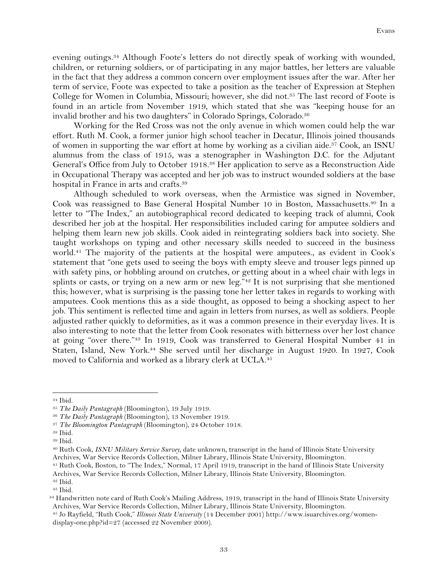evening outings.34 Although Foote's letters do not directly speak of working with wounded, children, or returning soldiers, or of participating in any major battles, her letters are valuable in the fact that they address a common concern over employment issues after the war. After her term of service, Foote was expected to take a position as the teacher of Expression at Stephen College for Women in Columbia, Missouri; however, she did not.<sup>35</sup> The last record of Foote is found in an article from November 1919, which stated that she was "keeping house for an invalid brother and his two daughters" in Colorado Springs, Colorado.36

Working for the Red Cross was not the only avenue in which women could help the war effort. Ruth M. Cook, a former junior high school teacher in Decatur, Illinois joined thousands of women in supporting the war effort at home by working as a civilian aide.37 Cook, an ISNU alumnus from the class of 1915, was a stenographer in Washington D.C. for the Adjutant General's Office from July to October 1918.38 Her application to serve as a Reconstruction Aide in Occupational Therapy was accepted and her job was to instruct wounded soldiers at the base hospital in France in arts and crafts.39

Although scheduled to work overseas, when the Armistice was signed in November, Cook was reassigned to Base General Hospital Number 10 in Boston, Massachusetts.40 In a letter to "The Index," an autobiographical record dedicated to keeping track of alumni, Cook described her job at the hospital. Her responsibilities included caring for amputee soldiers and helping them learn new job skills. Cook aided in reintegrating soldiers back into society. She taught workshops on typing and other necessary skills needed to succeed in the business world.41 The majority of the patients at the hospital were amputees., as evident in Cook's statement that "one gets used to seeing the boys with empty sleeve and trouser legs pinned up with safety pins, or hobbling around on crutches, or getting about in a wheel chair with legs in splints or casts, or trying on a new arm or new leg."<sup>42</sup> It is not surprising that she mentioned this; however, what is surprising is the passing tone her letter takes in regards to working with amputees. Cook mentions this as a side thought, as opposed to being a shocking aspect to her job. This sentiment is reflected time and again in letters from nurses, as well as soldiers. People adjusted rather quickly to deformities, as it was a common presence in their everyday lives. It is also interesting to note that the letter from Cook resonates with bitterness over her lost chance at going "over there."43 In 1919, Cook was transferred to General Hospital Number 41 in Staten, Island, New York.44 She served until her discharge in August 1920. In 1927, Cook moved to California and worked as a library clerk at UCLA.45

<sup>34</sup> Ibid.

<sup>35</sup> *The Daily Pantagraph* (Bloomington), 19 July 1919.

<sup>36</sup> *The Daily Pantagraph* (Bloomington), 13 November 1919.

<sup>37</sup> *The Bloomington Pantagraph* (Bloomington), 24 October 1918.

<sup>38</sup> Ibid.

<sup>39</sup> Ibid.

<sup>40</sup> Ruth Cook, *ISNU Military Service Survey*, date unknown, transcript in the hand of Illinois State University Archives, War Service Records Collection, Milner Library, Illinois State University, Bloomington.

<sup>41</sup> Ruth Cook, Boston, to "The Index," Normal, 17 April 1919, transcript in the hand of Illinois State University Archives, War Service Records Collection, Milner Library, Illinois State University, Bloomington. <sup>42</sup> Ibid.

<sup>43</sup> Ibid.

<sup>44</sup> Handwritten note card of Ruth Cook's Mailing Address, 1919, transcript in the hand of Illinois State University Archives, War Service Records Collection, Milner Library, Illinois State University, Bloomington.

<sup>45</sup> Jo Rayfield, "Ruth Cook," *Illinois State University* (14 December 2001) http://www.isuarchives.org/womendisplay-one.php?id=27 (accessed 22 November 2009).